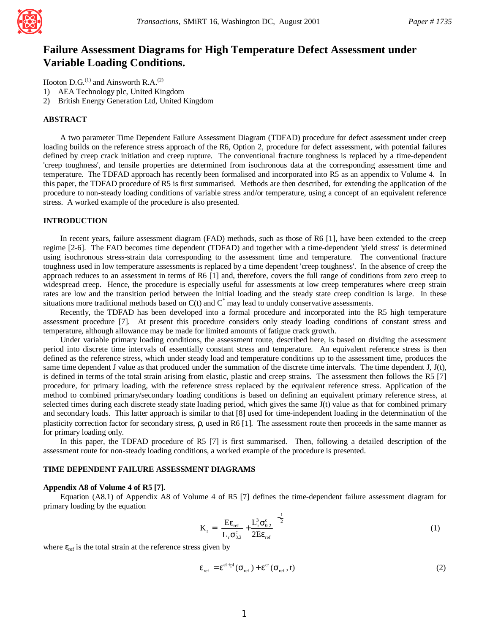

# **Failure Assessment Diagrams for High Temperature Defect Assessment under Variable Loading Conditions.**

Hooton D.G. $^{(1)}$  and Ainsworth R.A. $^{(2)}$ 

- 1) AEA Technology plc, United Kingdom
- 2) British Energy Generation Ltd, United Kingdom

#### **ABSTRACT**

A two parameter Time Dependent Failure Assessment Diagram (TDFAD) procedure for defect assessment under creep loading builds on the reference stress approach of the R6, Option 2, procedure for defect assessment, with potential failures defined by creep crack initiation and creep rupture. The conventional fracture toughness is replaced by a time-dependent 'creep toughness', and tensile properties are determined from isochronous data at the corresponding assessment time and temperature. The TDFAD approach has recently been formalised and incorporated into R5 as an appendix to Volume 4. In this paper, the TDFAD procedure of R5 is first summarised. Methods are then described, for extending the application of the procedure to non-steady loading conditions of variable stress and/or temperature, using a concept of an equivalent reference stress. A worked example of the procedure is also presented.

## **INTRODUCTION**

In recent years, failure assessment diagram (FAD) methods, such as those of R6 [1], have been extended to the creep regime [2-6]. The FAD becomes time dependent (TDFAD) and together with a time-dependent 'yield stress' is determined using isochronous stress-strain data corresponding to the assessment time and temperature. The conventional fracture toughness used in low temperature assessments is replaced by a time dependent 'creep toughness'. In the absence of creep the approach reduces to an assessment in terms of R6 [1] and, therefore, covers the full range of conditions from zero creep to widespread creep. Hence, the procedure is especially useful for assessments at low creep temperatures where creep strain rates are low and the transition period between the initial loading and the steady state creep condition is large. In these situations more traditional methods based on  $C(t)$  and  $C^*$  may lead to unduly conservative assessments.

Recently, the TDFAD has been developed into a formal procedure and incorporated into the R5 high temperature assessment procedure [7]. At present this procedure considers only steady loading conditions of constant stress and temperature, although allowance may be made for limited amounts of fatigue crack growth.

Under variable primary loading conditions, the assessment route, described here, is based on dividing the assessment period into discrete time intervals of essentially constant stress and temperature. An equivalent reference stress is then defined as the reference stress, which under steady load and temperature conditions up to the assessment time, produces the same time dependent J value as that produced under the summation of the discrete time intervals. The time dependent J,  $J(t)$ , is defined in terms of the total strain arising from elastic, plastic and creep strains. The assessment then follows the R5 [7] procedure, for primary loading, with the reference stress replaced by the equivalent reference stress. Application of the method to combined primary/secondary loading conditions is based on defining an equivalent primary reference stress, at selected times during each discrete steady state loading period, which gives the same J(t) value as that for combined primary and secondary loads. This latter approach is similar to that [8] used for time-independent loading in the determination of the plasticity correction factor for secondary stress, ρ, used in R6 [1]. The assessment route then proceeds in the same manner as for primary loading only.

In this paper, the TDFAD procedure of R5 [7] is first summarised. Then, following a detailed description of the assessment route for non-steady loading conditions, a worked example of the procedure is presented.

### **TIME DEPENDENT FAILURE ASSESSMENT DIAGRAMS**

#### **Appendix A8 of Volume 4 of R5 [7].**

Equation (A8.1) of Appendix A8 of Volume 4 of R5 [7] defines the time-dependent failure assessment diagram for primary loading by the equation

$$
\mathbf{K}_{\rm r} = \left[ \frac{\mathbf{E} \boldsymbol{\varepsilon}_{\rm ref}}{\mathbf{L}_{\rm r} \sigma_{0.2}^{\rm c}} + \frac{\mathbf{L}_{\rm r}^3 \sigma_{0.2}^{\rm c}}{2 \mathbf{E} \boldsymbol{\varepsilon}_{\rm ref}} \right]^{-\frac{1}{2}} \tag{1}
$$

where  $\varepsilon_{\text{ref}}$  is the total strain at the reference stress given by

$$
\varepsilon_{\rm ref} = \varepsilon^{\rm el+pl}(\sigma_{\rm ref}) + \varepsilon^{\rm cr}(\sigma_{\rm ref}, t) \tag{2}
$$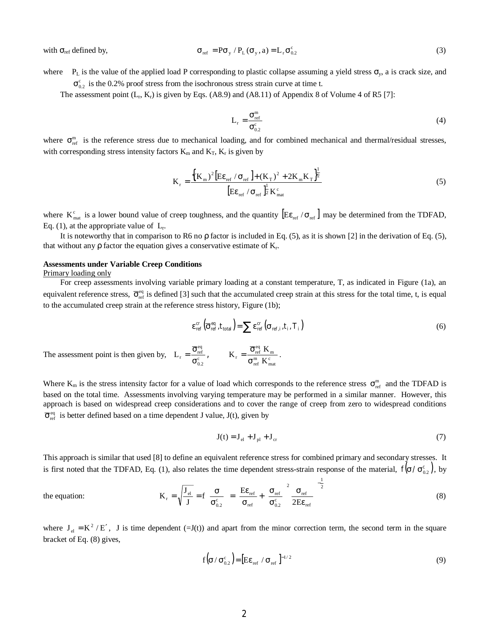with  $\sigma_{ref}$  defined by,

$$
\sigma_{\text{ref}} = \mathbf{P}\sigma_{\text{y}} / \mathbf{P}_{\text{L}}(\sigma_{\text{y}}, a) = \mathbf{L}_{\text{r}}\sigma_{0.2}^{\text{c}}
$$
\n(3)

where  $P_L$  is the value of the applied load P corresponding to plastic collapse assuming a yield stress  $\sigma_y$ , a is crack size, and  $\sigma_{0,2}^{\rm c}$  is the 0.2% proof stress from the isochronous stress strain curve at time t.

The assessment point  $(L_r, K_r)$  is given by Eqs. (A8.9) and (A8.11) of Appendix 8 of Volume 4 of R5 [7]:

$$
L_r = \frac{\sigma_{\text{ref}}^m}{\sigma_{0.2}^c} \tag{4}
$$

where  $\sigma_{\text{ref}}^{\text{m}}$  is the reference stress due to mechanical loading, and for combined mechanical and thermal/residual stresses, with corresponding stress intensity factors  $K_m$  and  $K_T$ ,  $K_r$  is given by

$$
K_{\rm r} = \frac{\left\{ (K_{\rm m})^2 \left[ E \varepsilon_{\rm ref} / \sigma_{\rm ref} \right] + (K_{\rm T})^2 + 2K_{\rm m} K_{\rm T} \right\}^{\frac{1}{2}}}{\left[ E \varepsilon_{\rm ref} / \sigma_{\rm ref} \right]^{\frac{1}{2}} K_{\rm mat}^{\rm c}}
$$
(5)

where  $K_{\text{mat}}^c$  is a lower bound value of creep toughness, and the quantity  $\left[ E \varepsilon_{\text{ref}} / \sigma_{\text{ref}} \right]$  may be determined from the TDFAD, Eq. (1), at the appropriate value of  $L_r$ .

It is noteworthy that in comparison to R6 no  $\rho$  factor is included in Eq. (5), as it is shown [2] in the derivation of Eq. (5), that without any  $\rho$  factor the equation gives a conservative estimate of  $K_r$ .

## **Assessments under Variable Creep Conditions**

#### Primary loading only

the equation:

For creep assessments involving variable primary loading at a constant temperature, T, as indicated in Figure (1a), an equivalent reference stress,  $\bar{\sigma}_{ref}^{eq}$  is defined [3] such that the accumulated creep strain at this stress for the total time, t, is equal to the accumulated creep strain at the reference stress history, Figure (1b);

$$
\varepsilon_{\rm ref}^{\rm cr} \left( \overline{\sigma}_{\rm ref}^{\rm eq}, t_{\rm total} \right) = \sum \varepsilon_{\rm ref}^{\rm cr} \left( \sigma_{\rm ref,i}, t_i, T_i \right)
$$
 (6)

The assessment point is then given by,  $L_r = \frac{S_{\text{ref}}}{\sigma_{0.2}^c}$  $L_r = \frac{\overline{\sigma}_{\text{ref}}^{\text{eq}}}{\sigma_{0.2}^{\text{c}}}$ ,  $K_r = \frac{\overline{\sigma}_{\text{ref}}^{\text{eq}} K_m}{\sigma_{\text{ref}}^{\text{eq}} K_{\text{mat}}^{\text{c}}}$  $_{\rm r} = \frac{\overline{\sigma}_{\rm ref}^{\rm eq} \; {\rm K}_{\rm m}}{\sigma_{\rm ref}^{\rm m} \; {\rm K}_{\rm m}^{\rm c}}$  $K_r = \frac{\overline{\sigma}_{\text{ref}}^{\text{eq}} K}{m}$ σ  $=\frac{\overline{\sigma}_{\rm ref}^{\rm eq} \; {\rm K}_{\rm m}}{\frac{m}{\sigma_{\rm ref}} \; {\rm K}_{\rm m}}$ .

Where  $K_m$  is the stress intensity factor for a value of load which corresponds to the reference stress  $\sigma_{ref}^m$  and the TDFAD is based on the total time. Assessments involving varying temperature may be performed in a similar manner. However, this approach is based on widespread creep considerations and to cover the range of creep from zero to widespread conditions  $\overline{\sigma}_{\text{ref}}^{\text{eq}}$  is better defined based on a time dependent J value, J(t), given by

$$
\mathbf{J}(t) = \mathbf{J}_{\text{el}} + \mathbf{J}_{\text{pl}} + \mathbf{J}_{\text{cr}} \tag{7}
$$

This approach is similar that used [8] to define an equivalent reference stress for combined primary and secondary stresses. It is first noted that the TDFAD, Eq. (1), also relates the time dependent stress-strain response of the material,  $f(\sigma/\sigma_{0.2}^c)$ , by

$$
K_{r} = \sqrt{\frac{J_{el}}{J}} = f \left( \frac{\sigma}{\sigma_{0.2}^{c}} \right) = \left[ \frac{E \varepsilon_{ref}}{\sigma_{ref}} + \left( \frac{\sigma_{ref}}{\sigma_{0.2}^{c}} \right)^{2} \frac{\sigma_{ref}}{2E \varepsilon_{ref}} \right]^{-\frac{1}{2}}
$$
(8)

where  $J_{el} = K^2/E'$ , J is time dependent (=J(t)) and apart from the minor correction term, the second term in the square bracket of Eq. (8) gives,

$$
f\left(\sigma/\sigma_{0.2}^{c}\right) = \left[E\epsilon_{ref}/\sigma_{ref}\right]^{-1/2}
$$
\n(9)

2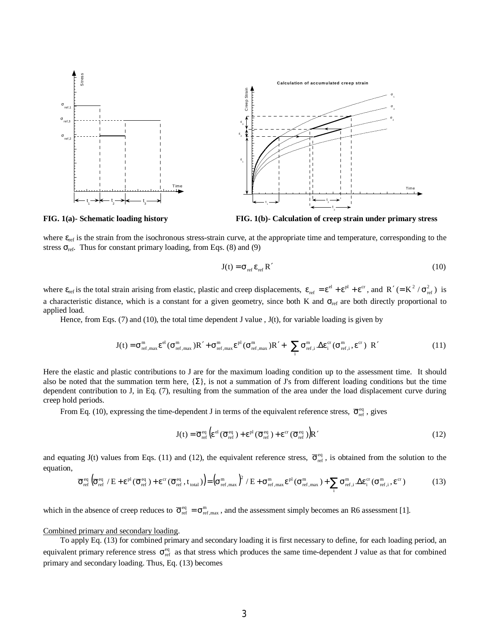

**FIG. 1(a)- Schematic loading history FIG. 1(b)- Calculation of creep strain under primary stress**

where ε<sub>ref</sub> is the strain from the isochronous stress-strain curve, at the appropriate time and temperature, corresponding to the stress  $\sigma_{ref}$ . Thus for constant primary loading, from Eqs. (8) and (9)

$$
J(t) = \sigma_{ref} \epsilon_{ref} R'
$$
 (10)

where  $\varepsilon_{ref}$  is the total strain arising from elastic, plastic and creep displacements,  $\varepsilon_{ref} = \varepsilon^{el} + \varepsilon^{pl} + \varepsilon^{cr}$ , and  $R' (= K^2 / \sigma_{ref}^2)$  is a characteristic distance, which is a constant for a given geometry, since both K and  $\sigma_{\text{ref}}$  are both directly proportional to applied load.

Hence, from Eqs. (7) and (10), the total time dependent J value , J(t), for variable loading is given by

$$
J(t) = \sigma_{\rm ref, max}^{\rm m} \epsilon^{\rm el} (\sigma_{\rm ref, max}^{\rm m}) R' + \sigma_{\rm ref, max}^{\rm m} \epsilon^{\rm pl} (\sigma_{\rm ref, max}^{\rm m}) R' + \left\{ \sum_{i} \sigma_{\rm ref, i}^{\rm m} \cdot \Delta \epsilon_{i}^{\rm cr} (\sigma_{\rm ref, i}^{\rm m}, \epsilon^{\rm cr}) \right\} R'
$$
(11)

Here the elastic and plastic contributions to J are for the maximum loading condition up to the assessment time. It should also be noted that the summation term here,  $\{\Sigma\}$ , is not a summation of J's from different loading conditions but the time dependent contribution to J, in Eq. (7), resulting from the summation of the area under the load displacement curve during creep hold periods.

From Eq. (10), expressing the time-dependent J in terms of the equivalent reference stress,  $\bar{\sigma}_{ref}^{eq}$ , gives

$$
J(t) = \overline{\sigma}_{ref}^{eq} \left( \varepsilon^{el} \left( \overline{\sigma}_{ref}^{eq} \right) + \varepsilon^{pl} \left( \overline{\sigma}_{ref}^{eq} \right) + \varepsilon^{cr} \left( \overline{\sigma}_{ref}^{eq} \right) \right) R' \tag{12}
$$

and equating J(t) values from Eqs. (11) and (12), the equivalent reference stress,  $\overline{\sigma}_{ref}^{eq}$ , is obtained from the solution to the equation,

$$
\overline{\sigma}_{\rm ref}^{\rm eq} \left( \overline{\sigma}_{\rm ref}^{\rm eq} / E + \varepsilon^{\rm pl} (\overline{\sigma}_{\rm ref}^{\rm eq}) + \varepsilon^{\rm cr} (\overline{\sigma}_{\rm ref}^{\rm eq}, t_{\rm total}) \right) = \left( \sigma_{\rm ref, max}^{\rm m} \right)^2 / E + \sigma_{\rm ref, max}^{\rm m} \varepsilon^{\rm pl} (\sigma_{\rm ref, max}^{\rm m}) + \sum_{i} \sigma_{\rm ref, i}^{\rm m} \Delta \varepsilon_i^{\rm cr} (\sigma_{\rm ref, i}^{\rm m}, \varepsilon^{\rm cr}) \tag{13}
$$

which in the absence of creep reduces to  $\overline{\sigma}_{ref}^{eq} = \sigma_{ref, max}^{m}$ , and the assessment simply becomes an R6 assessment [1].

### Combined primary and secondary loading.

To apply Eq. (13) for combined primary and secondary loading it is first necessary to define, for each loading period, an equivalent primary reference stress  $\sigma_{ref}^{eq}$  as that stress which produces the same time-dependent J value as that for combined primary and secondary loading. Thus, Eq. (13) becomes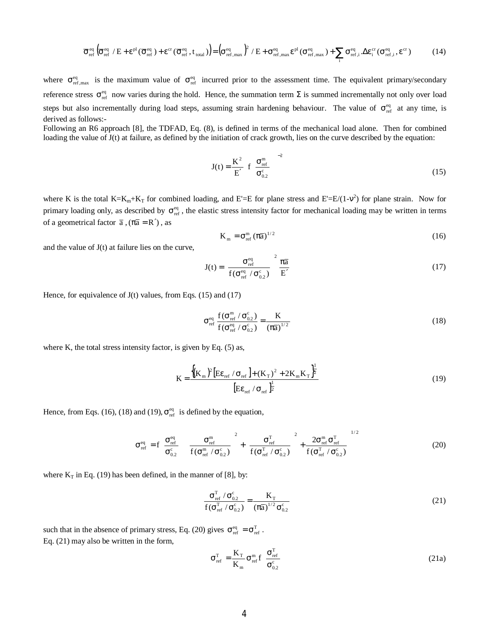$$
\overline{\sigma}_{\rm ref}^{\rm eq} \left( \overline{\sigma}_{\rm ref}^{\rm eq} \ / \ E + \epsilon^{\rm pl} (\overline{\sigma}_{\rm ref}^{\rm eq}) + \epsilon^{\rm cr} (\overline{\sigma}_{\rm ref}^{\rm eq}, t_{\rm total}) \right) = \left( \sigma_{\rm ref, max}^{\rm eq} \right)^2 / \ E + \sigma_{\rm ref, max}^{\rm eq} \epsilon^{\rm pl} (\sigma_{\rm ref, max}^{\rm eq}) + \sum_{i} \sigma_{\rm ref, i}^{\rm eq} \cdot \Delta \epsilon_i^{\rm cr} (\sigma_{\rm ref, i}^{\rm eq}, \epsilon^{\rm cr}) \tag{14}
$$

where  $\sigma_{ref, max}^{eq}$  is the maximum value of  $\sigma_{ref}^{eq}$  incurred prior to the assessment time. The equivalent primary/secondary reference stress  $\sigma_{ref}^{\text{eq}}$  now varies during the hold. Hence, the summation term Σ is summed incrementally not only over load steps but also incrementally during load steps, assuming strain hardening behaviour. The value of  $\sigma_{ref}^{eq}$  at any time, is derived as follows:-

Following an R6 approach [8], the TDFAD, Eq. (8), is defined in terms of the mechanical load alone. Then for combined loading the value of  $J(t)$  at failure, as defined by the initiation of crack growth, lies on the curve described by the equation:

$$
J(t) = \frac{K^2}{E'} \left[ f \left( \frac{\sigma_{\text{ref}}^m}{\sigma_{0.2}^c} \right) \right]^{-2} \tag{15}
$$

where K is the total K=K<sub>m</sub>+K<sub>T</sub> for combined loading, and E'=E for plane stress and E'=E/(1-v<sup>2</sup>) for plane strain. Now for primary loading only, as described by  $\sigma_{ref}^{eq}$ , the elastic stress intensity factor for mechanical loading may be written in terms of a geometrical factor  $\bar{a}$ ,  $(\pi \bar{a} = R')$ , as

$$
K_{m} = \sigma_{ref}^{m} (\pi \overline{a})^{1/2}
$$
 (16)

and the value of  $J(t)$  at failure lies on the curve,

$$
J(t) = \left[\frac{\sigma_{\text{ref}}^{\text{eq}}}{f(\sigma_{\text{ref}}^{\text{eq}} / \sigma_{0.2}^{\text{c}})}\right]^2 \frac{\pi \bar{a}}{E'}
$$
(17)

Hence, for equivalence of  $J(t)$  values, from Eqs. (15) and (17)

$$
\sigma_{\text{ref}}^{\text{eq}} \frac{f(\sigma_{\text{ref}}^{\text{eq}} / \sigma_{0.2}^{\text{c}})}{f(\sigma_{\text{ref}}^{\text{eq}} / \sigma_{0.2}^{\text{c}})} = \frac{K}{(\pi \overline{a})^{1/2}}
$$
(18)

where K, the total stress intensity factor, is given by Eq. (5) as,

$$
K = \frac{\left\{ (K_{m})^{2} \left[ E \varepsilon_{\text{ref}} / \sigma_{\text{ref}} \right] + (K_{\text{T}})^{2} + 2K_{m} K_{\text{T}} \right\}^{\frac{1}{2}}}{\left[ E \varepsilon_{\text{ref}} / \sigma_{\text{ref}} \right]^{\frac{1}{2}}}
$$
(19)

Hence, from Eqs. (16), (18) and (19),  $\sigma_{\text{ref}}^{\text{eq}}$  is defined by the equation,

$$
\sigma_{\rm ref}^{\rm eq} = f \left( \frac{\sigma_{\rm ref}^{\rm eq}}{\sigma_{0.2}^{\rm c}} \right) \left[ \frac{\sigma_{\rm ref}^{\rm m}}{f(\sigma_{\rm ref}^{\rm m} / \sigma_{0.2}^{\rm c})} \right]^2 + \left[ \frac{\sigma_{\rm ref}^{\rm T}}{f(\sigma_{\rm ref}^{\rm T} / \sigma_{0.2}^{\rm c})} \right]^2 + \frac{2\sigma_{\rm ref}^{\rm m} \sigma_{\rm ref}^{\rm T}}{f(\sigma_{\rm ref}^{\rm T} / \sigma_{0.2}^{\rm c})} \right]^{1/2}
$$
(20)

where  $K_T$  in Eq. (19) has been defined, in the manner of [8], by:

$$
\frac{\sigma_{\text{ref}}^{\text{T}} / \sigma_{0.2}^{\text{c}}}{f(\sigma_{\text{ref}}^{\text{T}} / \sigma_{0.2}^{\text{c}})} = \frac{K_{\text{T}}}{(\pi \overline{a})^{1/2} \sigma_{0.2}^{\text{c}}} \tag{21}
$$

such that in the absence of primary stress, Eq. (20) gives  $\sigma_{\text{ref}}^{\text{eq}} = \sigma_{\text{ref}}^{\text{T}}$ . Eq. (21) may also be written in the form,

$$
\sigma_{\rm ref}^{\rm T} = \frac{\mathbf{K}_{\rm T}}{\mathbf{K}_{\rm m}} \sigma_{\rm ref}^{\rm m} \mathbf{f} \left( \frac{\sigma_{\rm ref}^{\rm T}}{\sigma_{0.2}^{\rm c}} \right)
$$
 (21a)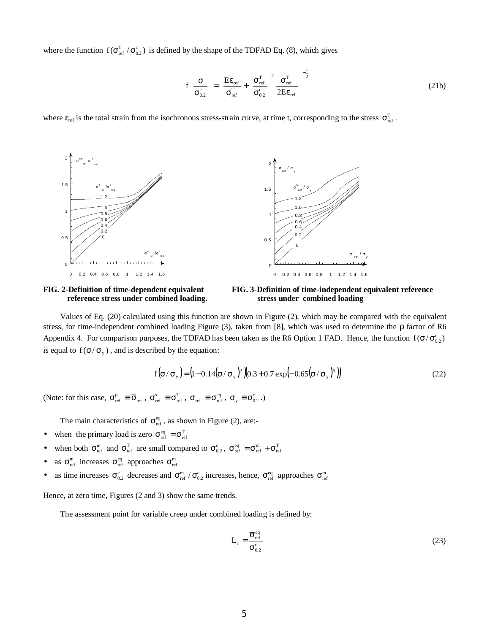where the function  $f(\sigma_{ref}^T/\sigma_{0.2}^c)$  is defined by the shape of the TDFAD Eq. (8), which gives

$$
f\left(\frac{\sigma}{\sigma_{0.2}^{c}}\right) = \left[\frac{E\epsilon_{ref}}{\sigma_{ref}^{T}} + \left(\frac{\sigma_{ref}^{T}}{\sigma_{0.2}^{c}}\right)^{2} \frac{\sigma_{ref}^{T}}{2E\epsilon_{ref}}\right]^{-\frac{1}{2}}
$$
(21b)

where  $\varepsilon_{\text{ref}}$  is the total strain from the isochronous stress-strain curve, at time t, corresponding to the stress  $\sigma_{\text{ref}}^T$ .



FIG. 2-Definition of time-dependent equivalent



Values of Eq. (20) calculated using this function are shown in Figure (2), which may be compared with the equivalent stress, for time-independent combined loading Figure (3), taken from [8], which was used to determine the ρ factor of R6 Appendix 4. For comparison purposes, the TDFAD has been taken as the R6 Option 1 FAD. Hence, the function  $f(\sigma/\sigma_{0.2}^c)$ is equal to  $f(\sigma/\sigma_y)$ , and is described by the equation:

$$
f(\sigma/\sigma_y) = (1 - 0.14(\sigma/\sigma_y)^2)(0.3 + 0.7 \exp(-0.65(\sigma/\sigma_y)^6))
$$
\n(22)

(Note: for this case,  $\sigma_{\text{ref}}^{\text{p}} \equiv \overline{\sigma}_{\text{ref}}$ ,  $\sigma_{\text{ref}}^{\text{s}} \equiv \sigma_{\text{ref}}^{\text{r}}$ ,  $\sigma_{\text{ref}} \equiv \sigma_{\text{ref}}^{\text{eq}}$ ,  $\sigma_y \equiv \sigma_{0.2}^{\text{c}}$ .)

The main characteristics of  $\sigma_{\text{ref}}^{\text{eq}}$ , as shown in Figure (2), are:-

- when the primary load is zero  $\sigma_{\text{ref}}^{\text{eq}} = \sigma_{\text{ref}}^{T}$
- when both  $\sigma_{\text{ref}}^{\text{m}}$  and  $\sigma_{\text{ref}}^{\text{T}}$  are small compared to  $\sigma_{0.2}^{\text{c}}$ ,  $\sigma_{\text{ref}}^{\text{eq}} = \sigma_{\text{ref}}^{\text{m}} + \sigma_{\text{ref}}^{\text{T}}$
- as  $\sigma_{\text{ref}}^{\text{m}}$  increases  $\sigma_{\text{ref}}^{\text{eq}}$  approaches  $\sigma_{\text{ref}}^{\text{m}}$
- as time increases  $\sigma_{0.2}^{\rm c}$  decreases and  $\sigma_{\rm ref}^{\rm m}/\sigma_{0.2}^{\rm c}$  increases, hence,  $\sigma_{\rm ref}^{\rm eq}$  approaches  $\sigma_{\rm ref}^{\rm m}$

Hence, at zero time, Figures (2 and 3) show the same trends.

The assessment point for variable creep under combined loading is defined by:

$$
L_r = \frac{\overline{\sigma}_{\text{ref}}^{\text{eq}}}{\sigma_{0.2}^{\text{c}}} \tag{23}
$$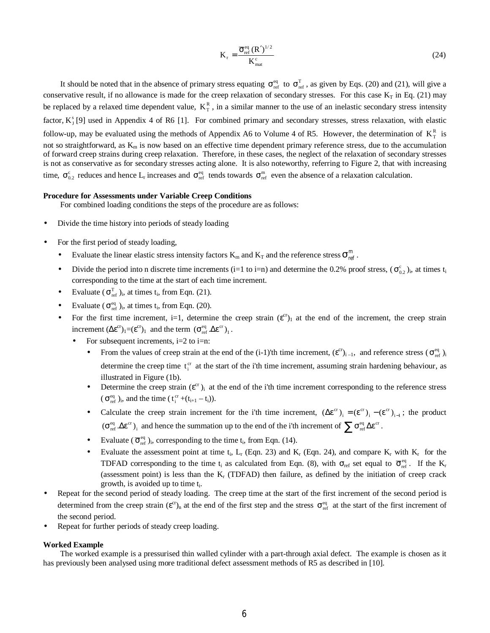$$
K_r = \frac{\overline{\sigma}_{ref}^{eq} (R')^{1/2}}{K_{mat}^c}
$$
 (24)

It should be noted that in the absence of primary stress equating  $\sigma_{ref}^{eq}$  to  $\sigma_{ref}^{T}$ , as given by Eqs. (20) and (21), will give a conservative result, if no allowance is made for the creep relaxation of secondary stresses. For this case  $K_T$  in Eq. (21) may be replaced by a relaxed time dependent value,  $K_{\tau}^{R}$ , in a similar manner to the use of an inelastic secondary stress intensity factor,  $K_1^s$  [9] used in Appendix 4 of R6 [1]. For combined primary and secondary stresses, stress relaxation, with elastic follow-up, may be evaluated using the methods of Appendix A6 to Volume 4 of R5. However, the determination of  $K_{\tau}^{R}$  is not so straightforward, as  $K_m$  is now based on an effective time dependent primary reference stress, due to the accumulation of forward creep strains during creep relaxation. Therefore, in these cases, the neglect of the relaxation of secondary stresses is not as conservative as for secondary stresses acting alone. It is also noteworthy, referring to Figure 2, that with increasing time,  $\sigma_{0.2}^c$  reduces and hence L<sub>r</sub> increases and  $\sigma_{ref}^{eq}$  tends towards  $\sigma_{ref}^m$  even the absence of a relaxation calculation.

#### **Procedure for Assessments under Variable Creep Conditions**

For combined loading conditions the steps of the procedure are as follows:

- Divide the time history into periods of steady loading
- For the first period of steady loading,
	- Evaluate the linear elastic stress intensity factors  $K_m$  and  $K_T$  and the reference stress  $\sigma_{\text{ref}}^m$ .
	- Divide the period into n discrete time increments (i=1 to i=n) and determine the 0.2% proof stress,  $(\sigma_{0.2}^c)_{i}$ , at times t<sub>i</sub> corresponding to the time at the start of each time increment.
	- Evaluate ( $\sigma_{ref}^{T}$ )<sub>i</sub>, at times t<sub>i</sub>, from Eqn. (21).
	- Evaluate ( $\sigma_{ref}^{eq}$ )<sub>i</sub>, at times t<sub>i</sub>, from Eqn. (20).
	- For the first time increment, i=1, determine the creep strain  $(\varepsilon^{cr})_1$  at the end of the increment, the creep strain increment  $(\Delta \varepsilon^{cr})_1 = (\varepsilon^{cr})_1$  and the term  $(\sigma_{ref}^{eq}, \Delta \varepsilon^{cr})_1$ .
		- For subsequent increments,  $i=2$  to  $i=n$ :
			- From the values of creep strain at the end of the (i-1)'th time increment,  $(\varepsilon^{cr})_{i-1}$ , and reference stress  $(\sigma_{ref}^{eq})_{i}$ determine the creep time  $t_i^{cr}$  at the start of the i'th time increment, assuming strain hardening behaviour, as illustrated in Figure (1b).
			- Determine the creep strain  $(\varepsilon^{cr})_i$  at the end of the i'th time increment corresponding to the reference stress  $(\sigma_{ref}^{eq})_i$ , and the time  $(t_i^{cr}+(t_{i+1}-t_i))$ .
			- Calculate the creep strain increment for the i'th time increment,  $(\Delta \varepsilon^{cr})_i = (\varepsilon^{cr})_i (\varepsilon^{cr})_{i-1}$ ; the product  $(\sigma_{\text{ref}}^{\text{eq}} \Delta \varepsilon^{\text{cr}})_{i}$  and hence the summation up to the end of the i'th increment of  $\sum \sigma_{\text{ref}}^{\text{eq}} \Delta \varepsilon^{\text{cr}}$ .
			- Evaluate ( $\overline{\sigma}_{ref}^{eq}$ )<sub>i</sub>, corresponding to the time t<sub>i</sub>, from Eqn. (14).
			- Evaluate the assessment point at time  $t_i$ ,  $L_r$  (Eqn. 23) and K<sub>r</sub> (Eqn. 24), and compare K<sub>r</sub> with K<sub>r</sub> for the TDFAD corresponding to the time t<sub>i</sub> as calculated from Eqn. (8), with  $\sigma_{ref}$  set equal to  $\overline{\sigma}_{ref}^{\text{eq}}$ . If the K<sub>r</sub> (assessment point) is less than the  $K_r$  (TDFAD) then failure, as defined by the initiation of creep crack growth, is avoided up to time  $t_i$ .
- Repeat for the second period of steady loading. The creep time at the start of the first increment of the second period is determined from the creep strain  $(\varepsilon^{cr})_n$  at the end of the first step and the stress  $\sigma_{ref}^{eq}$  at the start of the first increment of the second period.
- Repeat for further periods of steady creep loading.

#### **Worked Example**

The worked example is a pressurised thin walled cylinder with a part-through axial defect. The example is chosen as it has previously been analysed using more traditional defect assessment methods of R5 as described in [10].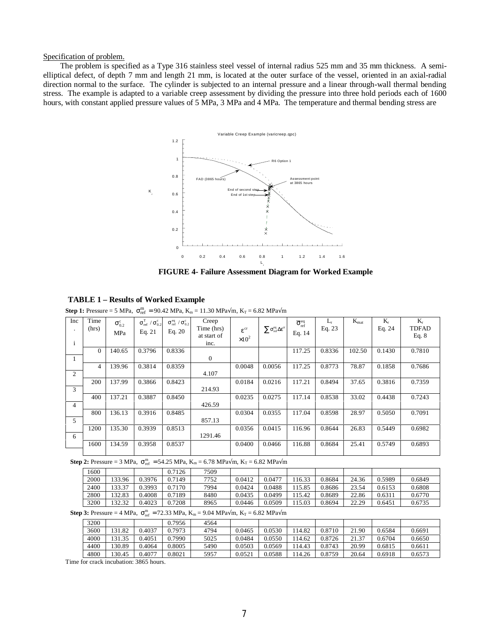Specification of problem.

The problem is specified as a Type 316 stainless steel vessel of internal radius 525 mm and 35 mm thickness. A semielliptical defect, of depth 7 mm and length 21 mm, is located at the outer surface of the vessel, oriented in an axial-radial direction normal to the surface. The cylinder is subjected to an internal pressure and a linear through-wall thermal bending stress. The example is adapted to a variable creep assessment by dividing the pressure into three hold periods each of 1600 hours, with constant applied pressure values of 5 MPa, 3 MPa and 4 MPa. The temperature and thermal bending stress are



**FIGURE 4- Failure Assessment Diagram for Worked Example**

**Step 1:** Pressure = 5 MPa,  $\sigma_{ref}^{m}$  = 90.42 MPa, K<sub>m</sub> = 11.30 MPa $\sqrt{m}$ , K<sub>T</sub> = 6.82 MPa $\sqrt{m}$ 

| Inc            | Time         | $\sigma_{0.2}^{\rm c}$ | $\sigma_{\rm ref}^{\rm T}$ / $\sigma_{0.2}^{\rm c}$ | $\sigma_{\rm ref}^{\rm eq}$ / $\sigma_{0.2}^{\rm c}$ | Creep          |                     |                                                           | $\overline{\sigma}_{\rm ref}^{\rm eq}$ | $L_{r}$ | $K_{\text{mat}}$ | $K_r$  | $K_r$        |
|----------------|--------------|------------------------|-----------------------------------------------------|------------------------------------------------------|----------------|---------------------|-----------------------------------------------------------|----------------------------------------|---------|------------------|--------|--------------|
| $\blacksquare$ | (hrs)        | MPa                    | Eq. $21$                                            | Eq. $20$                                             | Time (hrs)     | $\epsilon^{\rm cr}$ | $\sum \sigma_{\rm ref}^{\rm eq} \Delta \epsilon^{\rm cr}$ | Eq. 14                                 | Eq. 23  |                  | Eq. 24 | <b>TDFAD</b> |
|                |              |                        |                                                     |                                                      | at start of    | $\times 10^2$       |                                                           |                                        |         |                  |        | Eq. $8$      |
| i              |              |                        |                                                     |                                                      | inc.           |                     |                                                           |                                        |         |                  |        |              |
|                | $\mathbf{0}$ | 140.65                 | 0.3796                                              | 0.8336                                               |                |                     |                                                           | 117.25                                 | 0.8336  | 102.50           | 0.1430 | 0.7810       |
|                |              |                        |                                                     |                                                      | $\overline{0}$ |                     |                                                           |                                        |         |                  |        |              |
|                | 4            | 139.96                 | 0.3814                                              | 0.8359                                               |                | 0.0048              | 0.0056                                                    | 117.25                                 | 0.8773  | 78.87            | 0.1858 | 0.7686       |
| $\overline{c}$ |              |                        |                                                     |                                                      | 4.107          |                     |                                                           |                                        |         |                  |        |              |
|                | 200          | 137.99                 | 0.3866                                              | 0.8423                                               |                | 0.0184              | 0.0216                                                    | 117.21                                 | 0.8494  | 37.65            | 0.3816 | 0.7359       |
| 3              |              |                        |                                                     |                                                      | 214.93         |                     |                                                           |                                        |         |                  |        |              |
|                | 400          | 137.21                 | 0.3887                                              | 0.8450                                               |                | 0.0235              | 0.0275                                                    | 117.14                                 | 0.8538  | 33.02            | 0.4438 | 0.7243       |
| $\overline{4}$ |              |                        |                                                     |                                                      | 426.59         |                     |                                                           |                                        |         |                  |        |              |
|                | 800          | 136.13                 | 0.3916                                              | 0.8485                                               |                | 0.0304              | 0.0355                                                    | 117.04                                 | 0.8598  | 28.97            | 0.5050 | 0.7091       |
| 5              |              |                        |                                                     |                                                      | 857.13         |                     |                                                           |                                        |         |                  |        |              |
|                | 1200         | 135.30                 | 0.3939                                              | 0.8513                                               |                | 0.0356              | 0.0415                                                    | 116.96                                 | 0.8644  | 26.83            | 0.5449 | 0.6982       |
| 6              |              |                        |                                                     |                                                      | 1291.46        |                     |                                                           |                                        |         |                  |        |              |
|                | 1600         | 134.59                 | 0.3958                                              | 0.8537                                               |                | 0.0400              | 0.0466                                                    | 116.88                                 | 0.8684  | 25.41            | 0.5749 | 0.6893       |
|                |              |                        |                                                     |                                                      |                |                     |                                                           |                                        |         |                  |        |              |

**Step 2:** Pressure = 3 MPa,  $\sigma_{ref}^{m}$  = 54.25 MPa, K<sub>m</sub> = 6.78 MPa $\sqrt{m}$ , K<sub>T</sub> = 6.82 MPa $\sqrt{m}$ 

| 1600 |        |        | 0.7126 | 7509 |        |        |       |        |       |        |        |
|------|--------|--------|--------|------|--------|--------|-------|--------|-------|--------|--------|
| 2000 | 33.96  | ).3976 | 0.7149 | 7752 | 0.0412 | 0.0477 | 16.33 | 0.8684 | 24.36 | 0.5989 | 0.6849 |
| 2400 | 33.37  | 1.3993 | 0.7170 | 7994 | 0.0424 | 0.0488 | 15.85 | 9.8686 | 23.54 | 0.6153 | 0.6808 |
| 2800 | 32.83  | 0.4008 | 0.7189 | 8480 | 0.0435 | 0.0499 | 15.42 | 0.8689 | 22.86 | 0.6311 | 0.6770 |
| 3200 | 132.32 | 0.4023 | 0.7208 | 8965 | 0.0446 | 0.0509 | 15.03 | 0.8694 | 22.29 | 0.6451 | 0.6735 |

**Step 3:** Pressure = 4 MPa,  $\sigma_{ref}^{m} = 72.33 \text{ MPa}$ ,  $K_{m} = 9.04 \text{ MPa} \sqrt{m}$ ,  $K_{T} = 6.82 \text{ MPa} \sqrt{m}$ 

| 3200 |       |         | 0.7956 | 4564 |        |        |       |        |       |        |        |
|------|-------|---------|--------|------|--------|--------|-------|--------|-------|--------|--------|
| 3600 | 31.82 | J.4037  | 0.7973 | 4794 | 0.0465 | 0.0530 | 14.82 | 0.8710 | 21.90 | 0.6584 | 0.6691 |
| 4000 | 31.35 | 0.4051  | 0.7990 | 5025 | 0.0484 | 0.0550 | 14.62 | 0.8726 | 21.37 | 0.6704 | 0.6650 |
| 4400 | 30.89 | 0.4064  | 0.8005 | 5490 | 0.0503 | 0.0569 | 14.43 | 0.8743 | 20.99 | 0.6815 | 0.6611 |
| 4800 | 30.45 | 4077. د | 0.8021 | 5957 | 0.052  | 0.0588 | 14.26 | 0.8759 | 20.64 | 0.6918 | 0.6573 |

Time for crack incubation: 3865 hours.